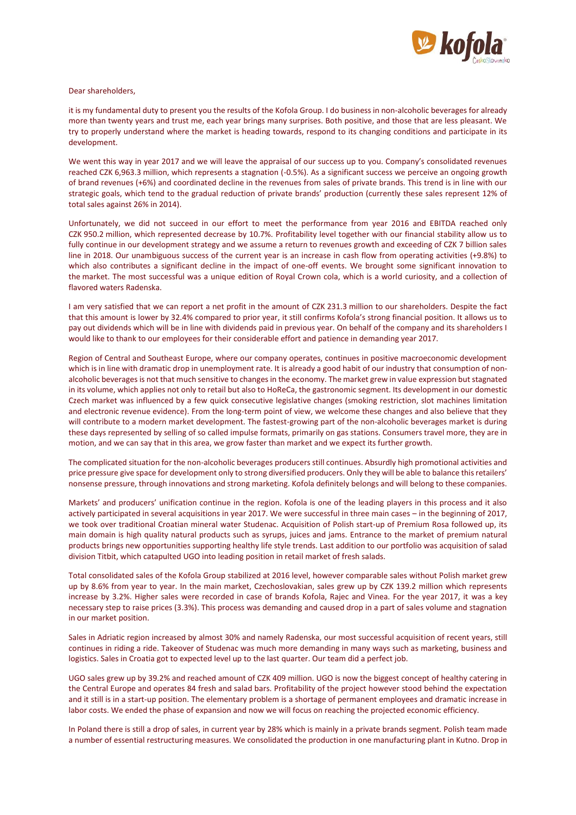

## Dear shareholders,

it is my fundamental duty to present you the results of the Kofola Group. I do business in non-alcoholic beverages for already more than twenty years and trust me, each year brings many surprises. Both positive, and those that are less pleasant. We try to properly understand where the market is heading towards, respond to its changing conditions and participate in its development.

We went this way in year 2017 and we will leave the appraisal of our success up to you. Company's consolidated revenues reached CZK 6,963.3 million, which represents a stagnation (-0.5%). As a significant success we perceive an ongoing growth of brand revenues (+6%) and coordinated decline in the revenues from sales of private brands. This trend is in line with our strategic goals, which tend to the gradual reduction of private brands' production (currently these sales represent 12% of total sales against 26% in 2014).

Unfortunately, we did not succeed in our effort to meet the performance from year 2016 and EBITDA reached only CZK 950.2 million, which represented decrease by 10.7%. Profitability level together with our financial stability allow us to fully continue in our development strategy and we assume a return to revenues growth and exceeding of CZK 7 billion sales line in 2018. Our unambiguous success of the current year is an increase in cash flow from operating activities (+9.8%) to which also contributes a significant decline in the impact of one-off events. We brought some significant innovation to the market. The most successful was a unique edition of Royal Crown cola, which is a world curiosity, and a collection of flavored waters Radenska.

I am very satisfied that we can report a net profit in the amount of CZK 231.3 million to our shareholders. Despite the fact that this amount is lower by 32.4% compared to prior year, it still confirms Kofola's strong financial position. It allows us to pay out dividends which will be in line with dividends paid in previous year. On behalf of the company and its shareholders I would like to thank to our employees for their considerable effort and patience in demanding year 2017.

Region of Central and Southeast Europe, where our company operates, continues in positive macroeconomic development which is in line with dramatic drop in unemployment rate. It is already a good habit of our industry that consumption of nonalcoholic beverages is not that much sensitive to changes in the economy. The market grew in value expression but stagnated in its volume, which applies not only to retail but also to HoReCa, the gastronomic segment. Its development in our domestic Czech market was influenced by a few quick consecutive legislative changes (smoking restriction, slot machines limitation and electronic revenue evidence). From the long-term point of view, we welcome these changes and also believe that they will contribute to a modern market development. The fastest-growing part of the non-alcoholic beverages market is during these days represented by selling of so called impulse formats, primarily on gas stations. Consumers travel more, they are in motion, and we can say that in this area, we grow faster than market and we expect its further growth.

The complicated situation for the non-alcoholic beverages producers still continues. Absurdly high promotional activities and price pressure give space for development only to strong diversified producers. Only they will be able to balance this retailers' nonsense pressure, through innovations and strong marketing. Kofola definitely belongs and will belong to these companies.

Markets' and producers' unification continue in the region. Kofola is one of the leading players in this process and it also actively participated in several acquisitions in year 2017. We were successful in three main cases – in the beginning of 2017, we took over traditional Croatian mineral water Studenac. Acquisition of Polish start-up of Premium Rosa followed up, its main domain is high quality natural products such as syrups, juices and jams. Entrance to the market of premium natural products brings new opportunities supporting healthy life style trends. Last addition to our portfolio was acquisition of salad division Titbit, which catapulted UGO into leading position in retail market of fresh salads.

Total consolidated sales of the Kofola Group stabilized at 2016 level, however comparable sales without Polish market grew up by 8.6% from year to year. In the main market, Czechoslovakian, sales grew up by CZK 139.2 million which represents increase by 3.2%. Higher sales were recorded in case of brands Kofola, Rajec and Vinea. For the year 2017, it was a key necessary step to raise prices (3.3%). This process was demanding and caused drop in a part of sales volume and stagnation in our market position.

Sales in Adriatic region increased by almost 30% and namely Radenska, our most successful acquisition of recent years, still continues in riding a ride. Takeover of Studenac was much more demanding in many ways such as marketing, business and logistics. Sales in Croatia got to expected level up to the last quarter. Our team did a perfect job.

UGO sales grew up by 39.2% and reached amount of CZK 409 million. UGO is now the biggest concept of healthy catering in the Central Europe and operates 84 fresh and salad bars. Profitability of the project however stood behind the expectation and it still is in a start-up position. The elementary problem is a shortage of permanent employees and dramatic increase in labor costs. We ended the phase of expansion and now we will focus on reaching the projected economic efficiency.

In Poland there is still a drop of sales, in current year by 28% which is mainly in a private brands segment. Polish team made a number of essential restructuring measures. We consolidated the production in one manufacturing plant in Kutno. Drop in